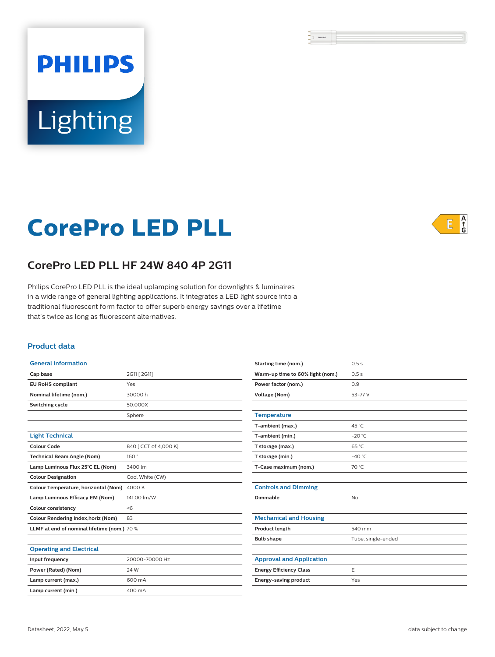# **PHILIPS** Lighting

# **CorePro LED PLL**



# **CorePro LED PLL HF 24W 840 4P 2G11**

Philips CorePro LED PLL is the ideal uplamping solution for downlights & luminaires in a wide range of general lighting applications. It integrates a LED light source into a traditional fluorescent form factor to offer superb energy savings over a lifetime that's twice as long as fluorescent alternatives.

#### **Product data**

| <b>General Information</b>                  |                       |  |
|---------------------------------------------|-----------------------|--|
| Cap base                                    | 2G11 [ 2G11]          |  |
| <b>EU RoHS compliant</b>                    | Yes                   |  |
| Nominal lifetime (nom.)                     | 30000 h               |  |
| Switching cycle                             | 50.000X               |  |
|                                             | Sphere                |  |
|                                             |                       |  |
| <b>Light Technical</b>                      |                       |  |
| Colour Code                                 | 840 [ CCT of 4,000 K] |  |
| <b>Technical Beam Angle (Nom)</b>           | 160°                  |  |
| Lamp Luminous Flux 25°C EL (Nom)            | 3400 lm               |  |
| <b>Colour Designation</b>                   | Cool White (CW)       |  |
| Colour Temperature, horizontal (Nom)        | 4000 K                |  |
| Lamp Luminous Efficacy EM (Nom)             | 141.00 lm/W           |  |
| <b>Colour consistency</b>                   | < 6                   |  |
| Colour Rendering Index, horiz (Nom)         | 83                    |  |
| LLMF at end of nominal lifetime (nom.) 70 % |                       |  |
|                                             |                       |  |

| Colour Rendering Index, horiz (Nom)         | 83             | М  |
|---------------------------------------------|----------------|----|
| LLMF at end of nominal lifetime (nom.) 70 % |                | Pr |
|                                             |                | Bι |
| <b>Operating and Electrical</b>             |                |    |
| Input frequency                             | 20000-70000 Hz | A  |
| Power (Rated) (Nom)                         | 24 W           | Er |
| Lamp current (max.)                         | 600 mA         | Er |
| Lamp current (min.)                         | 400 mA         |    |

| <b>Starting time (nom.)</b>      | 0.5s               |  |  |
|----------------------------------|--------------------|--|--|
| Warm-up time to 60% light (nom.) | 0.5s               |  |  |
| Power factor (nom.)              | 0.9                |  |  |
| <b>Voltage (Nom)</b>             | 53-77 V            |  |  |
|                                  |                    |  |  |
| <b>Temperature</b>               |                    |  |  |
| T-ambient (max.)                 | 45 °C              |  |  |
| T-ambient (min.)                 | $-20 °C$           |  |  |
| T storage (max.)                 | 65 °C              |  |  |
| T storage (min.)                 | $-40^{\circ}$ C    |  |  |
| T-Case maximum (nom.)            | 70 °C              |  |  |
|                                  |                    |  |  |
| <b>Controls and Dimming</b>      |                    |  |  |
| Dimmable                         | <b>No</b>          |  |  |
|                                  |                    |  |  |
| <b>Mechanical and Housing</b>    |                    |  |  |
| Product length                   | 540 mm             |  |  |
| <b>Bulb shape</b>                | Tube, single-ended |  |  |
|                                  |                    |  |  |
| <b>Approval and Application</b>  |                    |  |  |
| <b>Energy Efficiency Class</b>   | E                  |  |  |
| Energy-saving product            | Yes                |  |  |
|                                  |                    |  |  |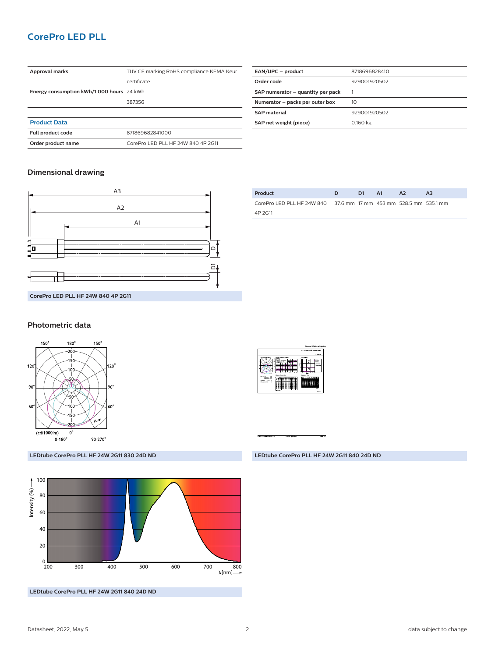## **CorePro LED PLL**

| Approval marks                            | TUV CE marking RoHS compliance KEMA Keur |  |  |  |
|-------------------------------------------|------------------------------------------|--|--|--|
|                                           | certificate                              |  |  |  |
| Energy consumption kWh/1,000 hours 24 kWh |                                          |  |  |  |
|                                           | 387356                                   |  |  |  |
|                                           |                                          |  |  |  |
| <b>Product Data</b>                       |                                          |  |  |  |
| Full product code                         | 871869682841000                          |  |  |  |
| Order product name                        | CorePro LED PLL HF 24W 840 4P 2G11       |  |  |  |

| EAN/UPC - product                 | 8718696828410 |
|-----------------------------------|---------------|
| Order code                        | 929001920502  |
| SAP numerator - quantity per pack |               |
| Numerator - packs per outer box   | 10            |
| <b>SAP</b> material               | 929001920502  |
| SAP net weight (piece)            | 0.160 kg      |
|                                   |               |

#### **Dimensional drawing**



| Product                                                           | <b>D</b> | D1. | - A1 | A <sub>2</sub> | A3 |
|-------------------------------------------------------------------|----------|-----|------|----------------|----|
| CorePro LED PLL HF 24W 840 37.6 mm 17 mm 453 mm 528.5 mm 535.1 mm |          |     |      |                |    |
| 4P 2G11                                                           |          |     |      |                |    |

#### **Photometric data**



**LEDtube CorePro PLL HF 24W 2G11 830 24D ND**



**LEDtube CorePro PLL HF 24W 2G11 840 24D ND**



**LEDtube CorePro PLL HF 24W 2G11 840 24D ND**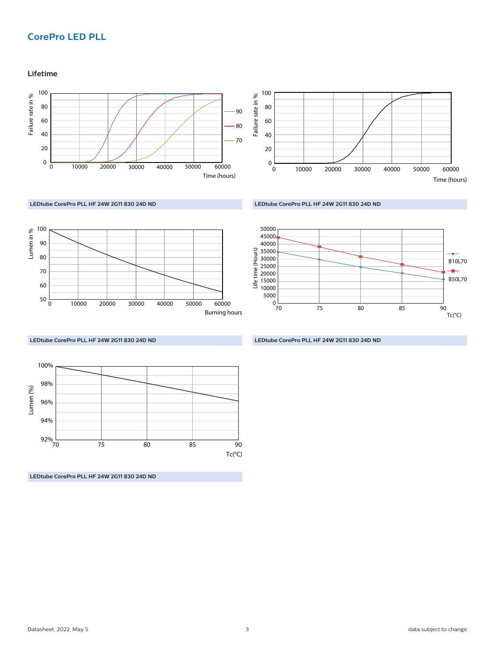# **CorePro LED PLL**

#### **Lifetime**





**LEDtube CorePro PLL HF 24W 2G11 830 24D ND**







**LEDtube CorePro PLL HF 24W 2G11 830 24D ND**

**LEDtube CorePro PLL HF 24W 2G11 830 24D ND**

Lumen (%) ـا<br>70 94% 96% 98% 100% Tc(°C) 70 75 80 85 90

**LEDtube CorePro PLL HF 24W 2G11 830 24D ND**